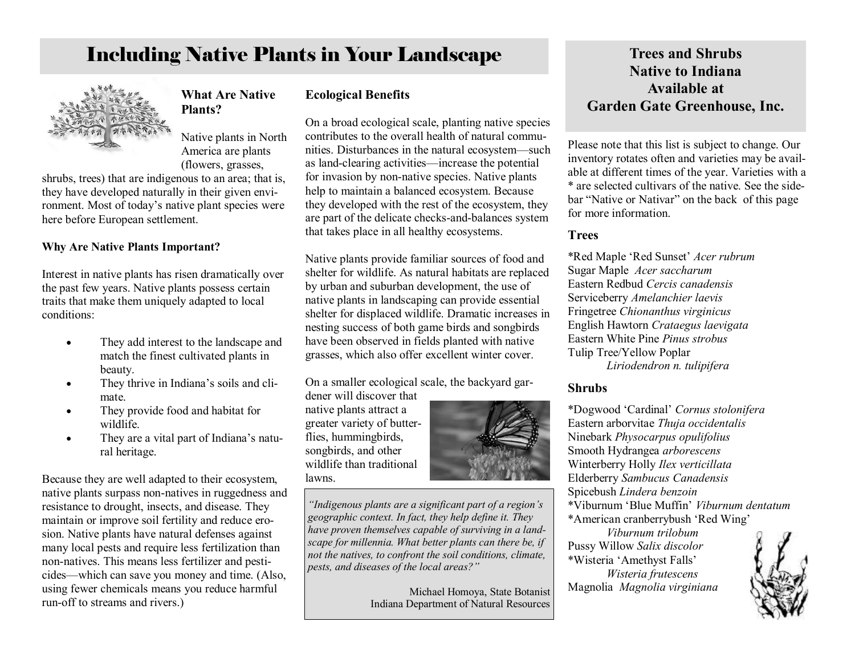## Including Native Plants in Your Landscape



**What Are Native Plants?**

Native plants in North America are plants (flowers, grasses,

shrubs, trees) that are indigenous to an area; that is, they have developed naturally in their given environment. Most of today"s native plant species were here before European settlement.

#### **Why Are Native Plants Important?**

Interest in native plants has risen dramatically over the past few years. Native plants possess certain traits that make them uniquely adapted to local conditions:

- They add interest to the landscape and match the finest cultivated plants in beauty.
- They thrive in Indiana's soils and climate.
- They provide food and habitat for wildlife.
- They are a vital part of Indiana's natural heritage.

Because they are well adapted to their ecosystem, native plants surpass non-natives in ruggedness and resistance to drought, insects, and disease. They maintain or improve soil fertility and reduce erosion. Native plants have natural defenses against many local pests and require less fertilization than non-natives. This means less fertilizer and pesticides—which can save you money and time. (Also, using fewer chemicals means you reduce harmful run-off to streams and rivers.)

#### **Ecological Benefits**

On a broad ecological scale, planting native species contributes to the overall health of natural communities. Disturbances in the natural ecosystem—such as land-clearing activities—increase the potential for invasion by non-native species. Native plants help to maintain a balanced ecosystem. Because they developed with the rest of the ecosystem, they are part of the delicate checks-and-balances system that takes place in all healthy ecosystems.

Native plants provide familiar sources of food and shelter for wildlife. As natural habitats are replaced by urban and suburban development, the use of native plants in landscaping can provide essential shelter for displaced wildlife. Dramatic increases in nesting success of both game birds and songbirds have been observed in fields planted with native grasses, which also offer excellent winter cover.

On a smaller ecological scale, the backyard gar-

dener will discover that native plants attract a greater variety of butterflies, hummingbirds, songbirds, and other wildlife than traditional lawns.



*"Indigenous plants are a significant part of a region's geographic context. In fact, they help define it. They have proven themselves capable of surviving in a landscape for millennia. What better plants can there be, if not the natives, to confront the soil conditions, climate, pests, and diseases of the local areas?"*

> Michael Homoya, State Botanist Indiana Department of Natural Resources

## **Trees and Shrubs Native to Indiana Available at Garden Gate Greenhouse, Inc.**

Please note that this list is subject to change. Our inventory rotates often and varieties may be available at different times of the year. Varieties with a \* are selected cultivars of the native. See the sidebar "Native or Nativar" on the back of this page for more information.

### **Trees**

\*Red Maple "Red Sunset" *Acer rubrum* Sugar Maple *Acer saccharum* Eastern Redbud *Cercis canadensis* Serviceberry *Amelanchier laevis* Fringetree *Chionanthus virginicus* English Hawtorn *Crataegus laevigata* Eastern White Pine *Pinus strobus* Tulip Tree/Yellow Poplar *Liriodendron n. tulipifera*

#### **Shrubs**

\*Dogwood "Cardinal" *Cornus stolonifera* Eastern arborvitae *Thuja occidentalis* Ninebark *Physocarpus opulifolius* Smooth Hydrangea *arborescens* Winterberry Holly *Ilex verticillata* Elderberry *Sambucus Canadensis* Spicebush *Lindera benzoin* \*Viburnum "Blue Muffin" *Viburnum dentatum* \*American cranberrybush "Red Wing"

*Viburnum trilobum* Pussy Willow *Salix discolor* \*Wisteria "Amethyst Falls" *Wisteria frutescens* Magnolia *Magnolia virginiana*